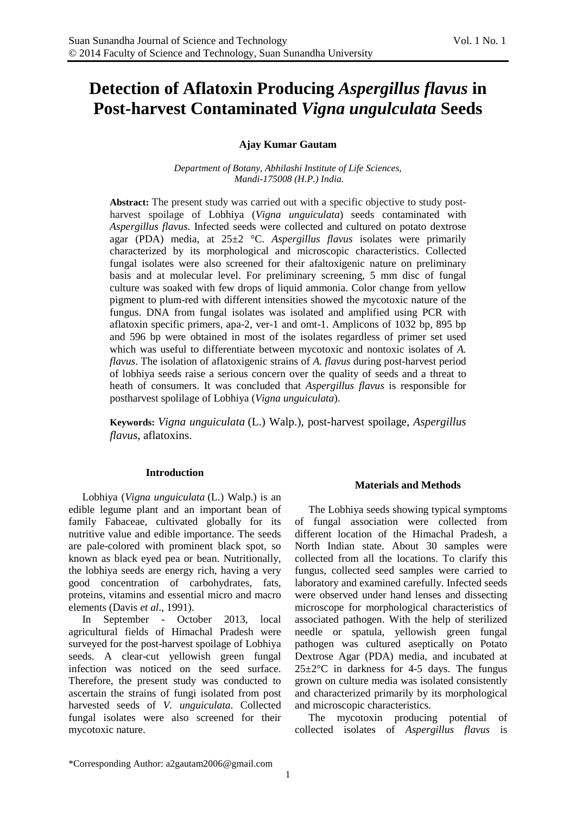# **Detection of Aflatoxin Producing** *Aspergillus flavus* **in Post-harvest Contaminated** *Vigna ungulculata* **Seeds**

# **Ajay Kumar Gautam**

*Department of Botany, Abhilashi Institute of Life Sciences, Mandi-175008 (H.P.) India.*

**Abstract:** The present study was carried out with a specific objective to study postharvest spoilage of Lobhiya (*Vigna unguiculata*) seeds contaminated with *Aspergillus flavus*. Infected seeds were collected and cultured on potato dextrose agar (PDA) media, at 25±2 °C. *Aspergillus flavus* isolates were primarily characterized by its morphological and microscopic characteristics. Collected fungal isolates were also screened for their afaltoxigenic nature on preliminary basis and at molecular level. For preliminary screening, 5 mm disc of fungal culture was soaked with few drops of liquid ammonia. Color change from yellow pigment to plum-red with different intensities showed the mycotoxic nature of the fungus. DNA from fungal isolates was isolated and amplified using PCR with aflatoxin specific primers, apa-2, ver-1 and omt-1. Amplicons of 1032 bp, 895 bp and 596 bp were obtained in most of the isolates regardless of primer set used which was useful to differentiate between mycotoxic and nontoxic isolates of *A. flavus*. The isolation of aflatoxigenic strains of *A. flavus* during post-harvest period of lobhiya seeds raise a serious concern over the quality of seeds and a threat to heath of consumers. It was concluded that *Aspergillus flavus* is responsible for postharvest spolilage of Lobhiya (*Vigna unguiculata*).

**Keywords:** *Vigna unguiculata* (L.) Walp.), post-harvest spoilage, *Aspergillus flavus*, aflatoxins.

#### **Introduction**

Lobhiya (*Vigna unguiculata* (L.) Walp.) is an edible legume plant and an important bean of family Fabaceae, cultivated globally for its nutritive value and edible importance. The seeds are pale-colored with prominent black spot, so known as black eyed pea or bean. Nutritionally, the lobhiya seeds are energy rich, having a very good concentration of carbohydrates, fats, proteins, vitamins and essential micro and macro elements (Davis *et al*., 1991).

In September - October 2013, local agricultural fields of Himachal Pradesh were surveyed for the post-harvest spoilage of Lobhiya seeds. A clear-cut yellowish green fungal infection was noticed on the seed surface. Therefore, the present study was conducted to ascertain the strains of fungi isolated from post harvested seeds of *V. unguiculata*. Collected fungal isolates were also screened for their mycotoxic nature.

# **Materials and Methods**

The Lobhiya seeds showing typical symptoms of fungal association were collected from different location of the Himachal Pradesh, a North Indian state. About 30 samples were collected from all the locations. To clarify this fungus, collected seed samples were carried to laboratory and examined carefully. Infected seeds were observed under hand lenses and dissecting microscope for morphological characteristics of associated pathogen. With the help of sterilized needle or spatula, yellowish green fungal pathogen was cultured aseptically on Potato Dextrose Agar (PDA) media, and incubated at  $25\pm2\degree$ C in darkness for 4-5 days. The fungus grown on culture media was isolated consistently and characterized primarily by its morphological and microscopic characteristics.

The mycotoxin producing potential of collected isolates of *Aspergillus flavus* is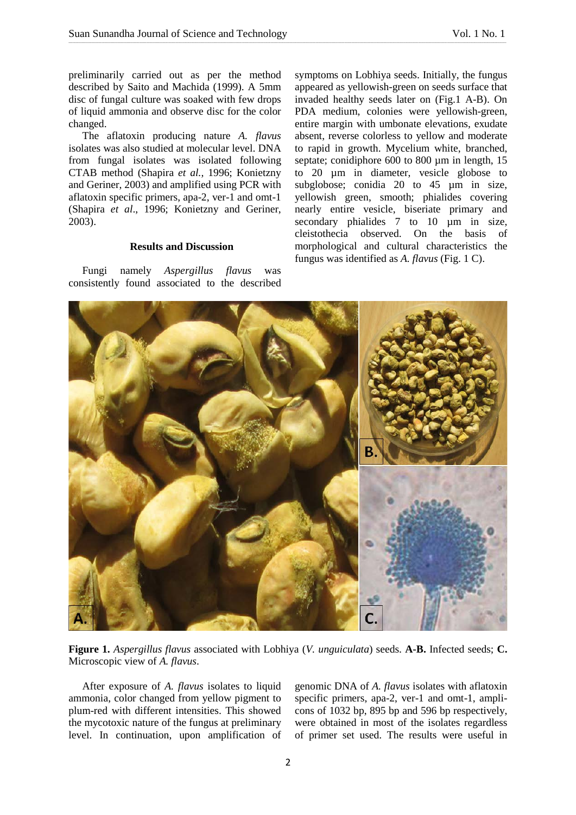preliminarily carried out as per the method described by Saito and Machida (1999). A 5mm disc of fungal culture was soaked with few drops of liquid ammonia and observe disc for the color changed.

The aflatoxin producing nature *A. flavus* isolates was also studied at molecular level. DNA from fungal isolates was isolated following CTAB method (Shapira *et al.,* 1996; Konietzny and Geriner, 2003) and amplified using PCR with aflatoxin specific primers, apa-2, ver-1 and omt-1 (Shapira *et al*., 1996; Konietzny and Geriner, 2003).

# **Results and Discussion**

Fungi namely *Aspergillus flavus* was consistently found associated to the described

symptoms on Lobhiya seeds. Initially, the fungus appeared as yellowish-green on seeds surface that invaded healthy seeds later on (Fig.1 A-B). On PDA medium, colonies were yellowish-green, entire margin with umbonate elevations, exudate absent, reverse colorless to yellow and moderate to rapid in growth. Mycelium white, branched, septate; conidiphore 600 to 800 µm in length, 15 to 20 µm in diameter, vesicle globose to subglobose; conidia 20 to 45 µm in size, yellowish green, smooth; phialides covering nearly entire vesicle, biseriate primary and secondary phialides 7 to 10 um in size, cleistothecia observed. On the basis of morphological and cultural characteristics the fungus was identified as *A. flavus* (Fig. 1 C).



\_\_\_\_\_\_\_\_\_\_\_\_\_\_\_\_\_\_\_\_\_\_\_\_\_\_\_\_\_\_\_\_\_\_\_\_\_\_\_\_\_\_\_\_\_\_\_\_\_\_\_\_\_\_\_\_\_\_\_\_\_\_\_\_\_\_\_\_\_\_\_\_\_\_\_\_\_\_\_\_\_\_\_\_\_\_\_\_\_\_\_\_\_\_\_\_\_\_\_\_\_\_\_\_\_\_\_\_\_\_\_\_\_\_\_\_\_\_\_\_\_\_\_\_\_\_\_\_\_\_\_\_\_\_\_\_\_\_\_\_\_\_\_\_\_\_\_\_\_\_\_\_\_\_\_\_\_\_\_\_\_\_\_\_\_\_\_\_\_\_\_\_\_\_\_\_\_\_\_\_\_\_\_\_\_\_\_\_\_\_\_\_\_\_\_\_\_\_\_\_\_\_\_\_\_\_\_\_\_\_\_\_\_\_\_\_\_\_\_\_\_\_\_\_\_\_\_\_\_\_\_\_\_\_\_\_\_\_\_\_\_\_\_\_\_\_\_\_\_\_\_\_\_\_\_\_\_\_\_\_\_\_\_\_\_\_\_\_\_\_\_\_\_\_\_\_\_\_\_\_\_\_\_\_\_\_\_\_\_\_\_\_\_\_\_\_\_\_\_\_\_\_\_

**Figure 1.** *Aspergillus flavus* associated with Lobhiya (*V. unguiculata*) seeds. **A-B.** Infected seeds; **C.** Microscopic view of *A. flavus*.

After exposure of *A. flavus* isolates to liquid ammonia, color changed from yellow pigment to plum-red with different intensities. This showed the mycotoxic nature of the fungus at preliminary level. In continuation, upon amplification of

genomic DNA of *A. flavus* isolates with aflatoxin specific primers, apa-2, ver-1 and omt-1, amplicons of 1032 bp, 895 bp and 596 bp respectively, were obtained in most of the isolates regardless of primer set used. The results were useful in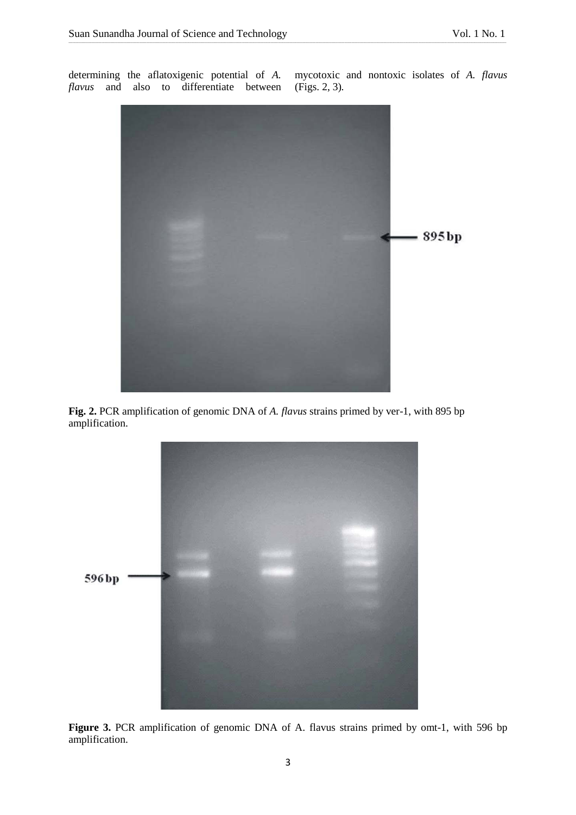determining the aflatoxigenic potential of *A. flavus* and also to differentiate between

mycotoxic and nontoxic isolates of *A. flavus*  (Figs. 2, 3)*.*



\_\_\_\_\_\_\_\_\_\_\_\_\_\_\_\_\_\_\_\_\_\_\_\_\_\_\_\_\_\_\_\_\_\_\_\_\_\_\_\_\_\_\_\_\_\_\_\_\_\_\_\_\_\_\_\_\_\_\_\_\_\_\_\_\_\_\_\_\_\_\_\_\_\_\_\_\_\_\_\_\_\_\_\_\_\_\_\_\_\_\_\_\_\_\_\_\_\_\_\_\_\_\_\_\_\_\_\_\_\_\_\_\_\_\_\_\_\_\_\_\_\_\_\_\_\_\_\_\_\_\_\_\_\_\_\_\_\_\_\_\_\_\_\_\_\_\_\_\_\_\_\_\_\_\_\_\_\_\_\_\_\_\_\_\_\_\_\_\_\_\_\_\_\_\_\_\_\_\_\_\_\_\_\_\_\_\_\_\_\_\_\_\_\_\_\_\_\_\_\_\_\_\_\_\_\_\_\_\_\_\_\_\_\_\_\_\_\_\_\_\_\_\_\_\_\_\_\_\_\_\_\_\_\_\_\_\_\_\_\_\_\_\_\_\_\_\_\_\_\_\_\_\_\_\_\_\_\_\_\_\_\_\_\_\_\_\_\_\_\_\_\_\_\_\_\_\_\_\_\_\_\_\_\_\_\_\_\_\_\_\_\_\_\_\_\_\_\_\_\_\_\_\_

**Fig. 2.** PCR amplification of genomic DNA of *A. flavus* strains primed by ver-1, with 895 bp amplification.



**Figure 3.** PCR amplification of genomic DNA of A. flavus strains primed by omt-1, with 596 bp amplification.